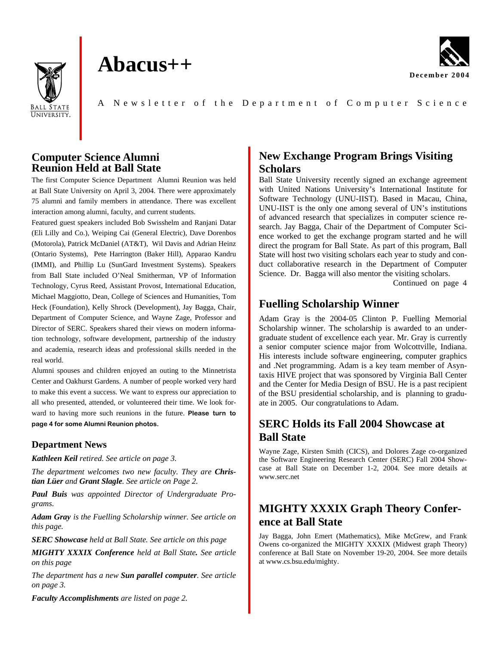

# **Abacus++**



A Newsletter of the Depart ment of Computer Science

#### **Computer Science Alumni Reunion Held at Ball State**

The first Computer Science Department Alumni Reunion was held at Ball State University on April 3, 2004. There were approximately 75 alumni and family members in attendance. There was excellent interaction among alumni, faculty, and current students.

Featured guest speakers included Bob Swisshelm and Ranjani Datar (Eli Lilly and Co.), Weiping Cai (General Electric), Dave Dorenbos (Motorola), Patrick McDaniel (AT&T), Wil Davis and Adrian Heinz (Ontario Systems), Pete Harrington (Baker Hill), Apparao Kandru (IMMI), and Phillip Lu (SunGard Investment Systems). Speakers from Ball State included O'Neal Smitherman, VP of Information Technology, Cyrus Reed, Assistant Provost, International Education, Michael Maggiotto, Dean, College of Sciences and Humanities, Tom Heck (Foundation), Kelly Shrock (Development), Jay Bagga, Chair, Department of Computer Science, and Wayne Zage, Professor and Director of SERC. Speakers shared their views on modern information technology, software development, partnership of the industry and academia, research ideas and professional skills needed in the real world.

Alumni spouses and children enjoyed an outing to the Minnetrista Center and Oakhurst Gardens. A number of people worked very hard to make this event a success. We want to express our appreciation to all who presented, attended, or volunteered their time. We look forward to having more such reunions in the future. **Please turn to page 4 for some Alumni Reunion photos.** 

#### **Department News**

*Kathleen Keil retired. See article on page 3.* 

*The department welcomes two new faculty. They are Christian Lüer and Grant Slagle. See article on Page 2.* 

*Paul Buis was appointed Director of Undergraduate Programs.* 

*Adam Gray is the Fuelling Scholarship winner. See article on this page.* 

*SERC Showcase held at Ball State. See article on this page*

*MIGHTY XXXIX Conference held at Ball State. See article on this page* 

*The department has a new Sun parallel computer. See article on page 3.* 

# **New Exchange Program Brings Visiting Scholars**

Ball State University recently signed an exchange agreement with United Nations University's International Institute for Software Technology (UNU-IIST). Based in Macau, China, UNU-IIST is the only one among several of UN's institutions of advanced research that specializes in computer science research. Jay Bagga, Chair of the Department of Computer Science worked to get the exchange program started and he will direct the program for Ball State. As part of this program, Ball State will host two visiting scholars each year to study and conduct collaborative research in the Department of Computer Science. Dr. Bagga will also mentor the visiting scholars.

Continued on page 4

# **Fuelling Scholarship Winner**

Adam Gray is the 2004-05 Clinton P. Fuelling Memorial Scholarship winner. The scholarship is awarded to an undergraduate student of excellence each year. Mr. Gray is currently a senior computer science major from Wolcottville, Indiana. His interests include software engineering, computer graphics and .Net programming. Adam is a key team member of Asyntaxis HIVE project that was sponsored by Virginia Ball Center and the Center for Media Design of BSU. He is a past recipient of the BSU presidential scholarship, and is planning to graduate in 2005. Our congratulations to Adam.

# **SERC Holds its Fall 2004 Showcase at Ball State**

Wayne Zage, Kirsten Smith (CICS), and Dolores Zage co-organized the Software Engineering Research Center (SERC) Fall 2004 Showcase at Ball State on December 1-2, 2004. See more details at www.serc.net

# **MIGHTY XXXIX Graph Theory Conference at Ball State**

Jay Bagga, John Emert (Mathematics), Mike McGrew, and Frank Owens co-organized the MIGHTY XXXIX (Midwest graph Theory) conference at Ball State on November 19-20, 2004. See more details at www.cs.bsu.edu/mighty.

*Faculty Accomplishments are listed on page 2.*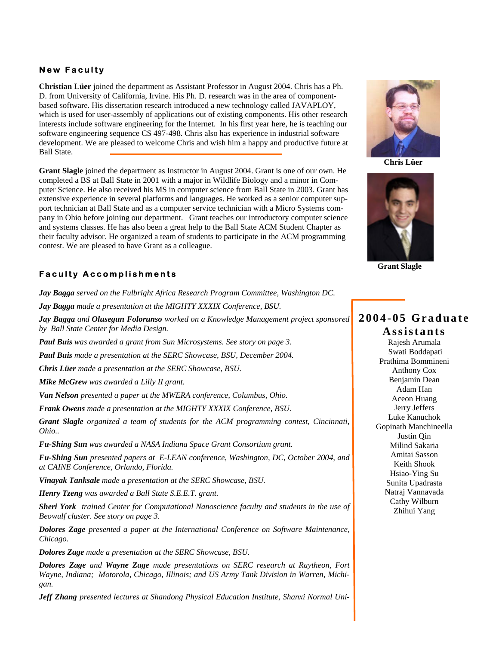#### **New Faculty**

**Christian Lüer** joined the department as Assistant Professor in August 2004. Chris has a Ph. D. from University of California, Irvine. His Ph. D. research was in the area of componentbased software. His dissertation research introduced a new technology called JAVAPLOY, which is used for user-assembly of applications out of existing components. His other research interests include software engineering for the Internet. In his first year here, he is teaching our software engineering sequence CS 497-498. Chris also has experience in industrial software development. We are pleased to welcome Chris and wish him a happy and productive future at Ball State.

**Grant Slagle** joined the department as Instructor in August 2004. Grant is one of our own. He completed a BS at Ball State in 2001 with a major in Wildlife Biology and a minor in Computer Science. He also received his MS in computer science from Ball State in 2003. Grant has extensive experience in several platforms and languages. He worked as a senior computer support technician at Ball State and as a computer service technician with a Micro Systems company in Ohio before joining our department. Grant teaches our introductory computer science and systems classes. He has also been a great help to the Ball State ACM Student Chapter as their faculty advisor. He organized a team of students to participate in the ACM programming contest. We are pleased to have Grant as a colleague.

#### **Faculty Accomplishments**

*Jay Bagga served on the Fulbright Africa Research Program Committee, Washington DC.* 

*Jay Bagga made a presentation at the MIGHTY XXXIX Conference, BSU.* 

*Jay Bagga and Olusegun Folorunso worked on a Knowledge Management project sponsored by Ball State Center for Media Design.* 

*Paul Buis was awarded a grant from Sun Microsystems. See story on page 3.* 

*Paul Buis made a presentation at the SERC Showcase, BSU, December 2004.* 

*Chris Lüer made a presentation at the SERC Showcase, BSU.* 

*Mike McGrew was awarded a Lilly II grant.* 

*Van Nelson presented a paper at the MWERA conference, Columbus, Ohio.* 

*Frank Owens made a presentation at the MIGHTY XXXIX Conference, BSU.* 

*Grant Slagle organized a team of students for the ACM programming contest, Cincinnati, Ohio..* 

*Fu-Shing Sun was awarded a NASA Indiana Space Grant Consortium grant.* 

*Fu-Shing Sun presented papers at E-LEAN conference, Washington, DC, October 2004, and at CAINE Conference, Orlando, Florida.* 

*Vinayak Tanksale made a presentation at the SERC Showcase, BSU.* 

*Henry Tzeng was awarded a Ball State S.E.E.T. grant.* 

*Sheri York trained Center for Computational Nanoscience faculty and students in the use of Beowulf cluster. See story on page 3.* 

*Dolores Zage presented a paper at the International Conference on Software Maintenance, Chicago.* 

*Dolores Zage made a presentation at the SERC Showcase, BSU.* 

*Dolores Zage and Wayne Zage made presentations on SERC research at Raytheon, Fort Wayne, Indiana; Motorola, Chicago, Illinois; and US Army Tank Division in Warren, Michigan.* 

*Jeff Zhang presented lectures at Shandong Physical Education Institute, Shanxi Normal Uni-*



**Chris Lüer**



**Grant Slagle**

### **2004-05 Graduate Assistants**

Rajesh Arumala Swati Boddapati Prathima Bommineni Anthony Cox Benjamin Dean Adam Han Aceon Huang Jerry Jeffers Luke Kanuchok Gopinath Manchineella Justin Qin Milind Sakaria Amitai Sasson Keith Shook Hsiao-Ying Su Sunita Upadrasta Natraj Vannavada Cathy Wilburn Zhihui Yang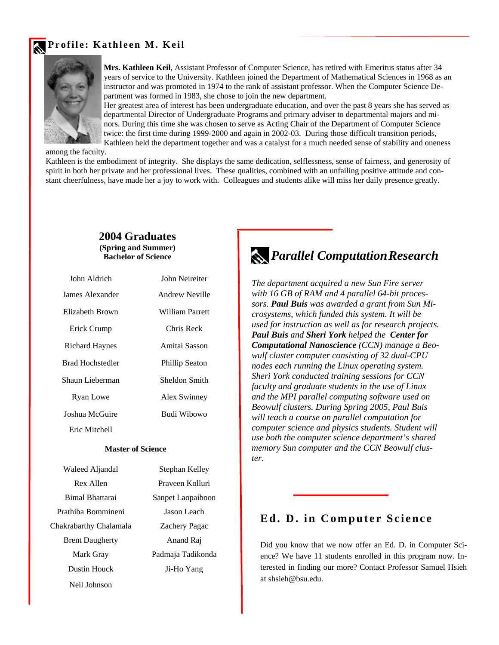### **Profile: Kathleen M. Keil**



**Mrs. Kathleen Keil**, Assistant Professor of Computer Science, has retired with Emeritus status after 34 years of service to the University. Kathleen joined the Department of Mathematical Sciences in 1968 as an instructor and was promoted in 1974 to the rank of assistant professor. When the Computer Science Department was formed in 1983, she chose to join the new department.

Her greatest area of interest has been undergraduate education, and over the past 8 years she has served as departmental Director of Undergraduate Programs and primary adviser to departmental majors and minors. During this time she was chosen to serve as Acting Chair of the Department of Computer Science twice: the first time during 1999-2000 and again in 2002-03. During those difficult transition periods, Kathleen held the department together and was a catalyst for a much needed sense of stability and oneness

among the faculty.

Kathleen is the embodiment of integrity. She displays the same dedication, selflessness, sense of fairness, and generosity of spirit in both her private and her professional lives. These qualities, combined with an unfailing positive attitude and constant cheerfulness, have made her a joy to work with. Colleagues and students alike will miss her daily presence greatly.

#### **2004 Graduates (Spring and Summer) Bachelor of Science**

| John Aldrich            | John Neireiter        |
|-------------------------|-----------------------|
| James Alexander         | Andrew Neville        |
| Elizabeth Brown         | William Parrett       |
| Erick Crump             | Chris Reck            |
| <b>Richard Haynes</b>   | Amitai Sasson         |
| <b>Brad Hochstedler</b> | <b>Phillip Seaton</b> |
| Shaun Lieberman         | Sheldon Smith         |
| Ryan Lowe               | Alex Swinney          |
| Joshua McGuire          | Budi Wibowo           |
| Eric Mitchell           |                       |

#### **Master of Science**

| Stephan Kelley       |
|----------------------|
| Prayeen Kolluri      |
| Sanpet Laopaiboon    |
| Jason Leach          |
| <b>Zachery Pagac</b> |
| Anand Raj            |
| Padmaja Tadikonda    |
| Ji-Ho Yang           |
|                      |
|                      |

# *Parallel Computation Research*

*The department acquired a new Sun Fire server with 16 GB of RAM and 4 parallel 64-bit processors. Paul Buis was awarded a grant from Sun Microsystems, which funded this system. It will be used for instruction as well as for research projects. Paul Buis and Sheri York helped the Center for Computational Nanoscience (CCN) manage a Beowulf cluster computer consisting of 32 dual-CPU nodes each running the Linux operating system. Sheri York conducted training sessions for CCN faculty and graduate students in the use of Linux and the MPI parallel computing software used on Beowulf clusters. During Spring 2005, Paul Buis will teach a course on parallel computation for computer science and physics students. Student will use both the computer science department's shared memory Sun computer and the CCN Beowulf cluster.* 

#### **Ed. D. in Computer Science**

Did you know that we now offer an Ed. D. in Computer Science? We have 11 students enrolled in this program now. Interested in finding our more? Contact Professor Samuel Hsieh at shsieh@bsu.edu.